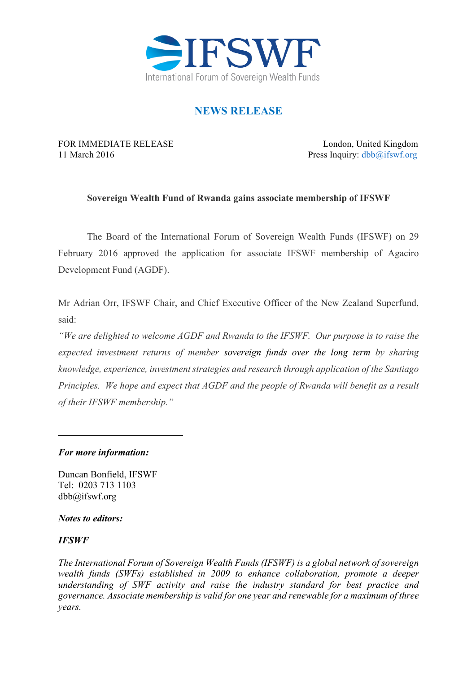

# **NEWS RELEASE**

FOR IMMEDIATE RELEASE London, United Kingdom 11 March 2016 Press Inquiry: dbb@ifswf.org

### **Sovereign Wealth Fund of Rwanda gains associate membership of IFSWF**

The Board of the International Forum of Sovereign Wealth Funds (IFSWF) on 29 February 2016 approved the application for associate IFSWF membership of Agaciro Development Fund (AGDF).

Mr Adrian Orr, IFSWF Chair, and Chief Executive Officer of the New Zealand Superfund, said:

*"We are delighted to welcome AGDF and Rwanda to the IFSWF. Our purpose is to raise the expected investment returns of member sovereign funds over the long term by sharing knowledge, experience, investment strategies and research through application of the Santiago Principles. We hope and expect that AGDF and the people of Rwanda will benefit as a result of their IFSWF membership."*

### *For more information:*

Duncan Bonfield, IFSWF Tel: 0203 713 1103 dbb@ifswf.org

#### *Notes to editors:*

### *IFSWF*

*The International Forum of Sovereign Wealth Funds (IFSWF) is a global network of sovereign wealth funds (SWFs) established in 2009 to enhance collaboration, promote a deeper understanding of SWF activity and raise the industry standard for best practice and governance. Associate membership is valid for one year and renewable for a maximum of three years.*